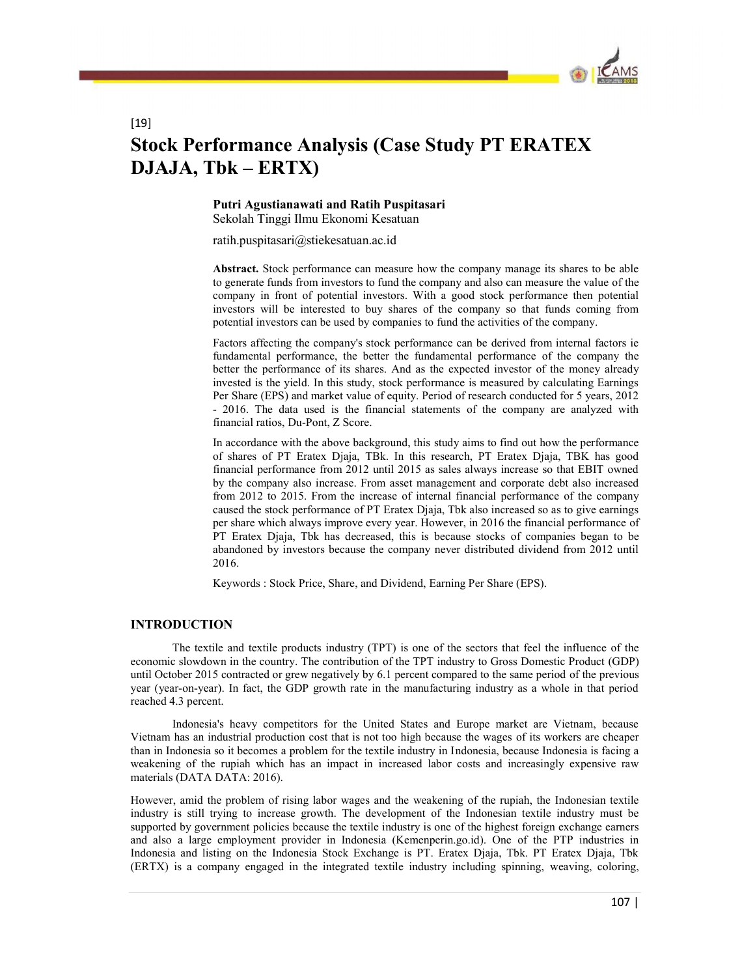

# Stock Performance Analysis (Case Study PT ERATEX DJAJA, Tbk - ERTX)

#### Putri Agustianawati and Ratih Puspitasari Sekolah Tinggi Ilmu Ekonomi Kesatuan

ratih.puspitasari@stiekesatuan.ac.id

Abstract. Stock performance can measure how the company manage its shares to be able to generate funds from investors to fund the company and also can measure the value of the company in front of potential investors. With a good stock performance then potential investors will be interested to buy shares of the company so that funds coming from potential investors can be used by companies to fund the activities of the company.

Factors affecting the company's stock performance can be derived from internal factors ie fundamental performance, the better the fundamental performance of the company the better the performance of its shares. And as the expected investor of the money already invested is the yield. In this study, stock performance is measured by calculating Earnings Per Share (EPS) and market value of equity. Period of research conducted for 5 years, 2012 - 2016. The data used is the financial statements of the company are analyzed with financial ratios, Du-Pont, Z Score.

In accordance with the above background, this study aims to find out how the performance of shares of PT Eratex Djaja, TBk. In this research, PT Eratex Djaja, TBK has good financial performance from 2012 until 2015 as sales always increase so that EBIT owned by the company also increase. From asset management and corporate debt also increased from 2012 to 2015. From the increase of internal financial performance of the company caused the stock performance of PT Eratex Djaja, Tbk also increased so as to give earnings per share which always improve every year. However, in 2016 the financial performance of PT Eratex Djaja, Tbk has decreased, this is because stocks of companies began to be abandoned by investors because the company never distributed dividend from 2012 until 2016.

Keywords : Stock Price, Share, and Dividend, Earning Per Share (EPS).

# INTRODUCTION

[19]

 The textile and textile products industry (TPT) is one of the sectors that feel the influence of the economic slowdown in the country. The contribution of the TPT industry to Gross Domestic Product (GDP) until October 2015 contracted or grew negatively by 6.1 percent compared to the same period of the previous year (year-on-year). In fact, the GDP growth rate in the manufacturing industry as a whole in that period reached 4.3 percent.

 Indonesia's heavy competitors for the United States and Europe market are Vietnam, because Vietnam has an industrial production cost that is not too high because the wages of its workers are cheaper than in Indonesia so it becomes a problem for the textile industry in Indonesia, because Indonesia is facing a weakening of the rupiah which has an impact in increased labor costs and increasingly expensive raw materials (DATA DATA: 2016).

However, amid the problem of rising labor wages and the weakening of the rupiah, the Indonesian textile industry is still trying to increase growth. The development of the Indonesian textile industry must be supported by government policies because the textile industry is one of the highest foreign exchange earners and also a large employment provider in Indonesia (Kemenperin.go.id). One of the PTP industries in Indonesia and listing on the Indonesia Stock Exchange is PT. Eratex Djaja, Tbk. PT Eratex Djaja, Tbk (ERTX) is a company engaged in the integrated textile industry including spinning, weaving, coloring,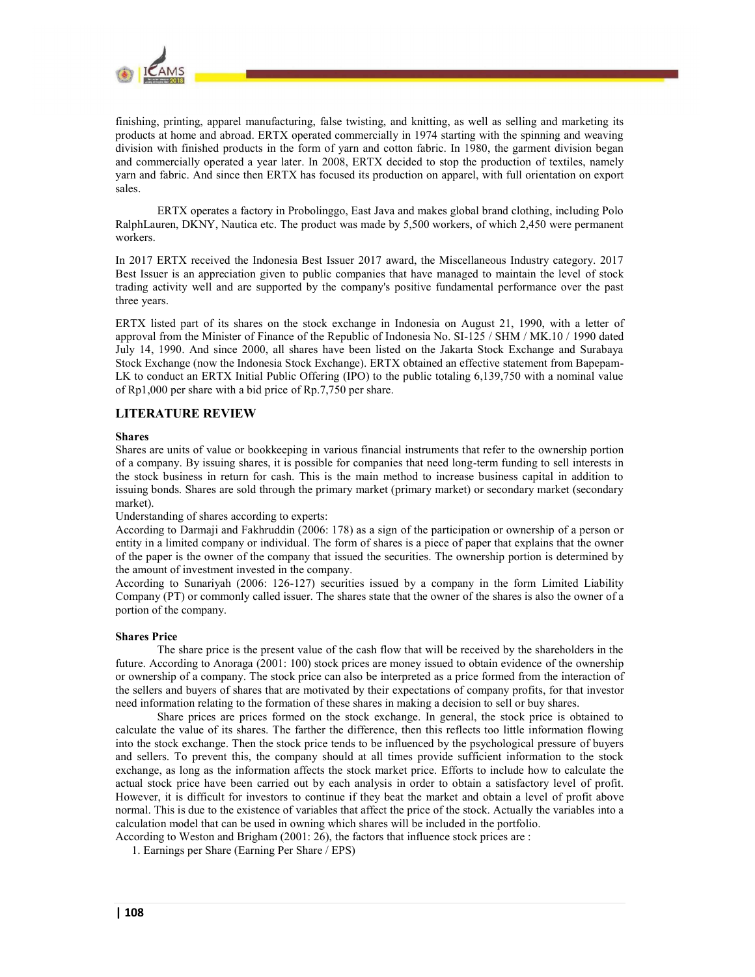

finishing, printing, apparel manufacturing, false twisting, and knitting, as well as selling and marketing its products at home and abroad. ERTX operated commercially in 1974 starting with the spinning and weaving division with finished products in the form of yarn and cotton fabric. In 1980, the garment division began and commercially operated a year later. In 2008, ERTX decided to stop the production of textiles, namely yarn and fabric. And since then ERTX has focused its production on apparel, with full orientation on export sales.

 ERTX operates a factory in Probolinggo, East Java and makes global brand clothing, including Polo RalphLauren, DKNY, Nautica etc. The product was made by 5,500 workers, of which 2,450 were permanent workers.

In 2017 ERTX received the Indonesia Best Issuer 2017 award, the Miscellaneous Industry category. 2017 Best Issuer is an appreciation given to public companies that have managed to maintain the level of stock trading activity well and are supported by the company's positive fundamental performance over the past three years.

ERTX listed part of its shares on the stock exchange in Indonesia on August 21, 1990, with a letter of approval from the Minister of Finance of the Republic of Indonesia No. SI-125 / SHM / MK.10 / 1990 dated July 14, 1990. And since 2000, all shares have been listed on the Jakarta Stock Exchange and Surabaya Stock Exchange (now the Indonesia Stock Exchange). ERTX obtained an effective statement from Bapepam-LK to conduct an ERTX Initial Public Offering (IPO) to the public totaling 6,139,750 with a nominal value of Rp1,000 per share with a bid price of Rp.7,750 per share.

# LITERATURE REVIEW

#### Shares

Shares are units of value or bookkeeping in various financial instruments that refer to the ownership portion of a company. By issuing shares, it is possible for companies that need long-term funding to sell interests in the stock business in return for cash. This is the main method to increase business capital in addition to issuing bonds. Shares are sold through the primary market (primary market) or secondary market (secondary market).

Understanding of shares according to experts:

According to Darmaji and Fakhruddin (2006: 178) as a sign of the participation or ownership of a person or entity in a limited company or individual. The form of shares is a piece of paper that explains that the owner of the paper is the owner of the company that issued the securities. The ownership portion is determined by the amount of investment invested in the company.

According to Sunariyah (2006: 126-127) securities issued by a company in the form Limited Liability Company (PT) or commonly called issuer. The shares state that the owner of the shares is also the owner of a portion of the company.

#### Shares Price

 The share price is the present value of the cash flow that will be received by the shareholders in the future. According to Anoraga (2001: 100) stock prices are money issued to obtain evidence of the ownership or ownership of a company. The stock price can also be interpreted as a price formed from the interaction of the sellers and buyers of shares that are motivated by their expectations of company profits, for that investor need information relating to the formation of these shares in making a decision to sell or buy shares.

Share prices are prices formed on the stock exchange. In general, the stock price is obtained to calculate the value of its shares. The farther the difference, then this reflects too little information flowing into the stock exchange. Then the stock price tends to be influenced by the psychological pressure of buyers and sellers. To prevent this, the company should at all times provide sufficient information to the stock exchange, as long as the information affects the stock market price. Efforts to include how to calculate the actual stock price have been carried out by each analysis in order to obtain a satisfactory level of profit. However, it is difficult for investors to continue if they beat the market and obtain a level of profit above normal. This is due to the existence of variables that affect the price of the stock. Actually the variables into a calculation model that can be used in owning which shares will be included in the portfolio.

According to Weston and Brigham (2001: 26), the factors that influence stock prices are :

1. Earnings per Share (Earning Per Share / EPS)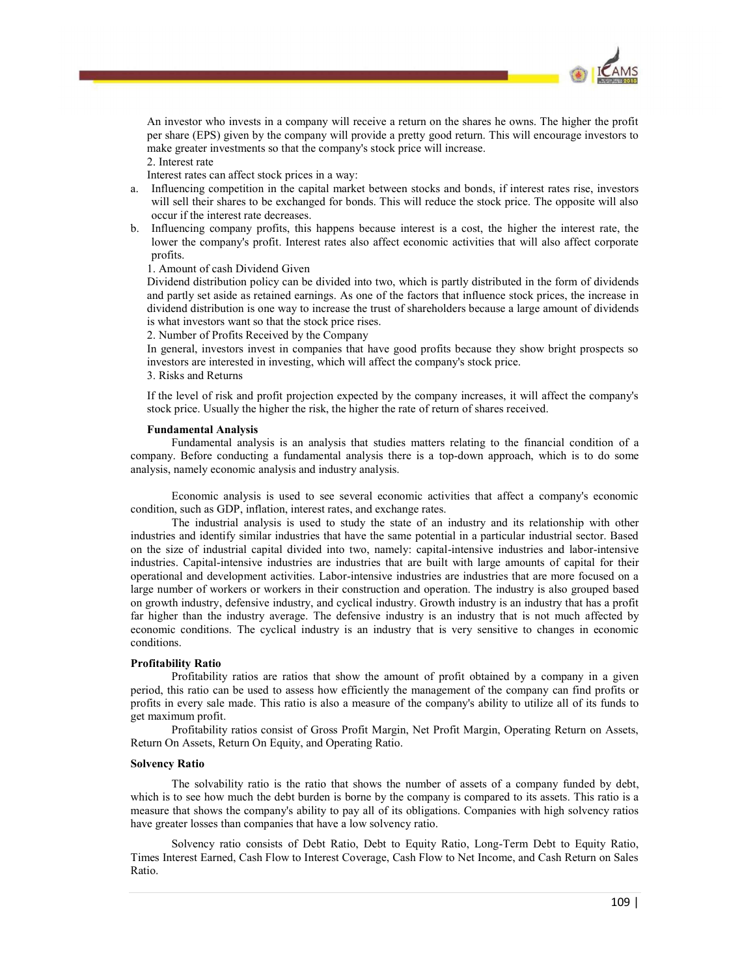

An investor who invests in a company will receive a return on the shares he owns. The higher the profit per share (EPS) given by the company will provide a pretty good return. This will encourage investors to make greater investments so that the company's stock price will increase.

2. Interest rate

- Interest rates can affect stock prices in a way:<br>a. Influencing competition in the capital market between stocks and bonds, if interest rates rise, investors will sell their shares to be exchanged for bonds. This will reduce the stock price. The opposite will also occur if the interest rate decreases.
- b. Influencing company profits, this happens because interest is a cost, the higher the interest rate, the lower the company's profit. Interest rates also affect economic activities that will also affect corporate profits.

1. Amount of cash Dividend Given

Dividend distribution policy can be divided into two, which is partly distributed in the form of dividends and partly set aside as retained earnings. As one of the factors that influence stock prices, the increase in dividend distribution is one way to increase the trust of shareholders because a large amount of dividends is what investors want so that the stock price rises.

2. Number of Profits Received by the Company

In general, investors invest in companies that have good profits because they show bright prospects so investors are interested in investing, which will affect the company's stock price.

3. Risks and Returns

If the level of risk and profit projection expected by the company increases, it will affect the company's stock price. Usually the higher the risk, the higher the rate of return of shares received.

#### Fundamental Analysis

Fundamental analysis is an analysis that studies matters relating to the financial condition of a company. Before conducting a fundamental analysis there is a top-down approach, which is to do some analysis, namely economic analysis and industry analysis.

Economic analysis is used to see several economic activities that affect a company's economic condition, such as GDP, inflation, interest rates, and exchange rates.

The industrial analysis is used to study the state of an industry and its relationship with other industries and identify similar industries that have the same potential in a particular industrial sector. Based on the size of industrial capital divided into two, namely: capital-intensive industries and labor-intensive industries. Capital-intensive industries are industries that are built with large amounts of capital for their operational and development activities. Labor-intensive industries are industries that are more focused on a large number of workers or workers in their construction and operation. The industry is also grouped based on growth industry, defensive industry, and cyclical industry. Growth industry is an industry that has a profit far higher than the industry average. The defensive industry is an industry that is not much affected by economic conditions. The cyclical industry is an industry that is very sensitive to changes in economic conditions.

#### Profitability Ratio

Profitability ratios are ratios that show the amount of profit obtained by a company in a given period, this ratio can be used to assess how efficiently the management of the company can find profits or profits in every sale made. This ratio is also a measure of the company's ability to utilize all of its funds to get maximum profit.

Profitability ratios consist of Gross Profit Margin, Net Profit Margin, Operating Return on Assets, Return On Assets, Return On Equity, and Operating Ratio.

#### Solvency Ratio

The solvability ratio is the ratio that shows the number of assets of a company funded by debt, which is to see how much the debt burden is borne by the company is compared to its assets. This ratio is a measure that shows the company's ability to pay all of its obligations. Companies with high solvency ratios have greater losses than companies that have a low solvency ratio.

Solvency ratio consists of Debt Ratio, Debt to Equity Ratio, Long-Term Debt to Equity Ratio, Times Interest Earned, Cash Flow to Interest Coverage, Cash Flow to Net Income, and Cash Return on Sales Ratio.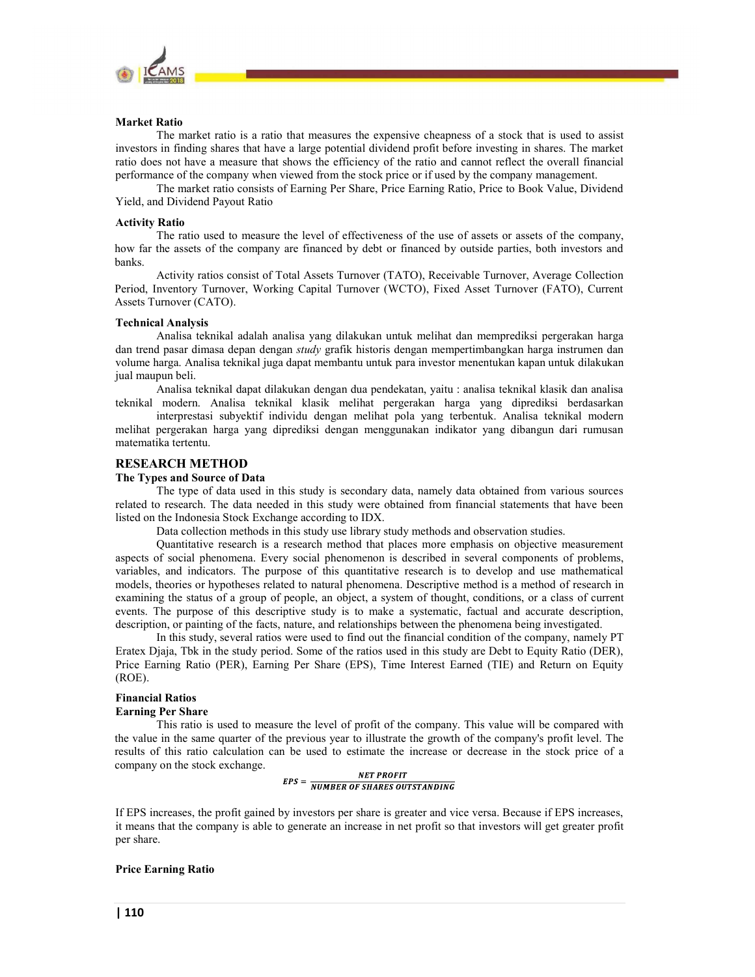

#### Market Ratio

The market ratio is a ratio that measures the expensive cheapness of a stock that is used to assist investors in finding shares that have a large potential dividend profit before investing in shares. The market ratio does not have a measure that shows the efficiency of the ratio and cannot reflect the overall financial performance of the company when viewed from the stock price or if used by the company management.

The market ratio consists of Earning Per Share, Price Earning Ratio, Price to Book Value, Dividend Yield, and Dividend Payout Ratio

#### Activity Ratio

The ratio used to measure the level of effectiveness of the use of assets or assets of the company, how far the assets of the company are financed by debt or financed by outside parties, both investors and banks.

Activity ratios consist of Total Assets Turnover (TATO), Receivable Turnover, Average Collection Period, Inventory Turnover, Working Capital Turnover (WCTO), Fixed Asset Turnover (FATO), Current Assets Turnover (CATO).

#### Technical Analysis

Analisa teknikal adalah analisa yang dilakukan untuk melihat dan memprediksi pergerakan harga dan trend pasar dimasa depan dengan study grafik historis dengan mempertimbangkan harga instrumen dan volume harga. Analisa teknikal juga dapat membantu untuk para investor menentukan kapan untuk dilakukan jual maupun beli.

Analisa teknikal dapat dilakukan dengan dua pendekatan, yaitu : analisa teknikal klasik dan analisa teknikal modern. Analisa teknikal klasik melihat pergerakan harga yang diprediksi berdasarkan

interprestasi subyektif individu dengan melihat pola yang terbentuk. Analisa teknikal modern melihat pergerakan harga yang diprediksi dengan menggunakan indikator yang dibangun dari rumusan matematika tertentu.

#### RESEARCH METHOD

# The Types and Source of Data

The type of data used in this study is secondary data, namely data obtained from various sources related to research. The data needed in this study were obtained from financial statements that have been listed on the Indonesia Stock Exchange according to IDX.

Data collection methods in this study use library study methods and observation studies.

Quantitative research is a research method that places more emphasis on objective measurement aspects of social phenomena. Every social phenomenon is described in several components of problems, variables, and indicators. The purpose of this quantitative research is to develop and use mathematical models, theories or hypotheses related to natural phenomena. Descriptive method is a method of research in examining the status of a group of people, an object, a system of thought, conditions, or a class of current events. The purpose of this descriptive study is to make a systematic, factual and accurate description, description, or painting of the facts, nature, and relationships between the phenomena being investigated.

In this study, several ratios were used to find out the financial condition of the company, namely PT Eratex Djaja, Tbk in the study period. Some of the ratios used in this study are Debt to Equity Ratio (DER), Price Earning Ratio (PER), Earning Per Share (EPS), Time Interest Earned (TIE) and Return on Equity (ROE).

# Financial Ratios

# Earning Per Share

This ratio is used to measure the level of profit of the company. This value will be compared with the value in the same quarter of the previous year to illustrate the growth of the company's profit level. The results of this ratio calculation can be used to estimate the increase or decrease in the stock price of a company on the stock exchange.

$$
EPS = \frac{NET\,PROFIT}{NUMBER\,OF\,SHARES\,OUTSTANDING}
$$

If EPS increases, the profit gained by investors per share is greater and vice versa. Because if EPS increases, it means that the company is able to generate an increase in net profit so that investors will get greater profit per share.

#### Price Earning Ratio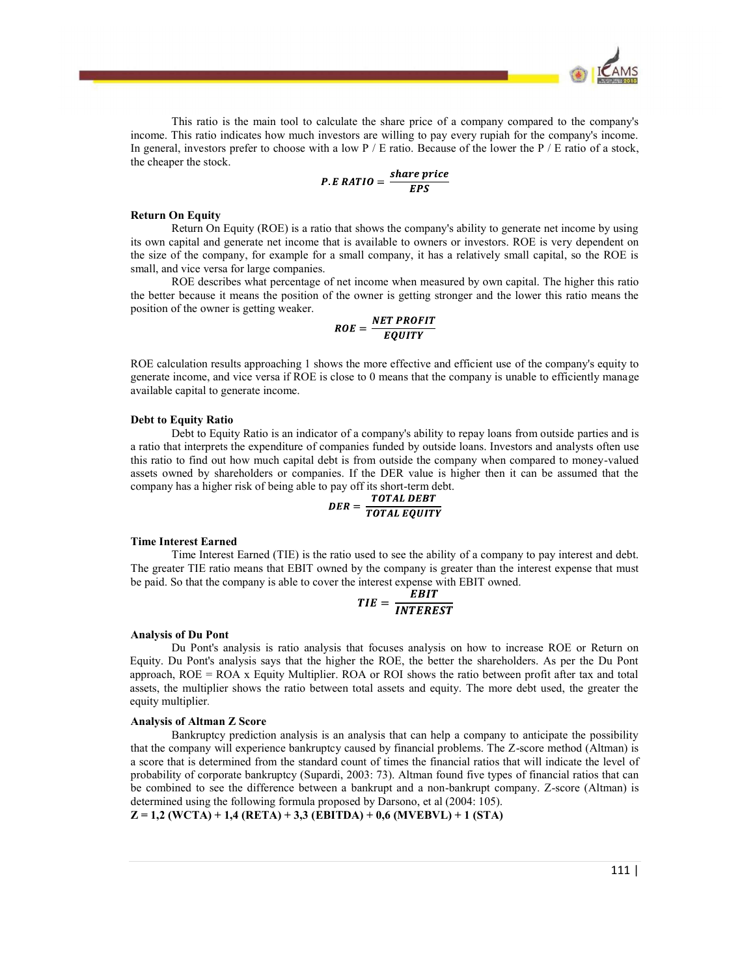

This ratio is the main tool to calculate the share price of a company compared to the company's income. This ratio indicates how much investors are willing to pay every rupiah for the company's income. In general, investors prefer to choose with a low  $P / E$  ratio. Because of the lower the  $P / E$  ratio of a stock, the cheaper the stock.

$$
P.E \, RATIO = \frac{share \, price}{EPS}
$$

#### Return On Equity

Return On Equity (ROE) is a ratio that shows the company's ability to generate net income by using its own capital and generate net income that is available to owners or investors. ROE is very dependent on the size of the company, for example for a small company, it has a relatively small capital, so the ROE is small, and vice versa for large companies.

ROE describes what percentage of net income when measured by own capital. The higher this ratio the better because it means the position of the owner is getting stronger and the lower this ratio means the position of the owner is getting weaker.

$$
ROE = \frac{NET \, PROFIT}{EQUITY}
$$

ROE calculation results approaching 1 shows the more effective and efficient use of the company's equity to generate income, and vice versa if ROE is close to 0 means that the company is unable to efficiently manage available capital to generate income.

#### Debt to Equity Ratio

Debt to Equity Ratio is an indicator of a company's ability to repay loans from outside parties and is a ratio that interprets the expenditure of companies funded by outside loans. Investors and analysts often use this ratio to find out how much capital debt is from outside the company when compared to money-valued assets owned by shareholders or companies. If the DER value is higher then it can be assumed that the company has a higher risk of being able to pay off its short-term debt.

$$
DER = \frac{TOTAL\ DEF}{TOTAL\ EQUITY}
$$

#### Time Interest Earned

Time Interest Earned (TIE) is the ratio used to see the ability of a company to pay interest and debt. The greater TIE ratio means that EBIT owned by the company is greater than the interest expense that must be paid. So that the company is able to cover the interest expense with EBIT owned.

$$
TIE = \frac{EBIT}{INTEREST}
$$

#### Analysis of Du Pont

Du Pont's analysis is ratio analysis that focuses analysis on how to increase ROE or Return on Equity. Du Pont's analysis says that the higher the ROE, the better the shareholders. As per the Du Pont approach, ROE = ROA x Equity Multiplier. ROA or ROI shows the ratio between profit after tax and total assets, the multiplier shows the ratio between total assets and equity. The more debt used, the greater the equity multiplier.

#### Analysis of Altman Z Score

Bankruptcy prediction analysis is an analysis that can help a company to anticipate the possibility that the company will experience bankruptcy caused by financial problems. The Z-score method (Altman) is a score that is determined from the standard count of times the financial ratios that will indicate the level of probability of corporate bankruptcy (Supardi, 2003: 73). Altman found five types of financial ratios that can be combined to see the difference between a bankrupt and a non-bankrupt company. Z-score (Altman) is determined using the following formula proposed by Darsono, et al (2004: 105).

 $Z = 1,2$  (WCTA) + 1,4 (RETA) + 3,3 (EBITDA) + 0,6 (MVEBVL) + 1 (STA)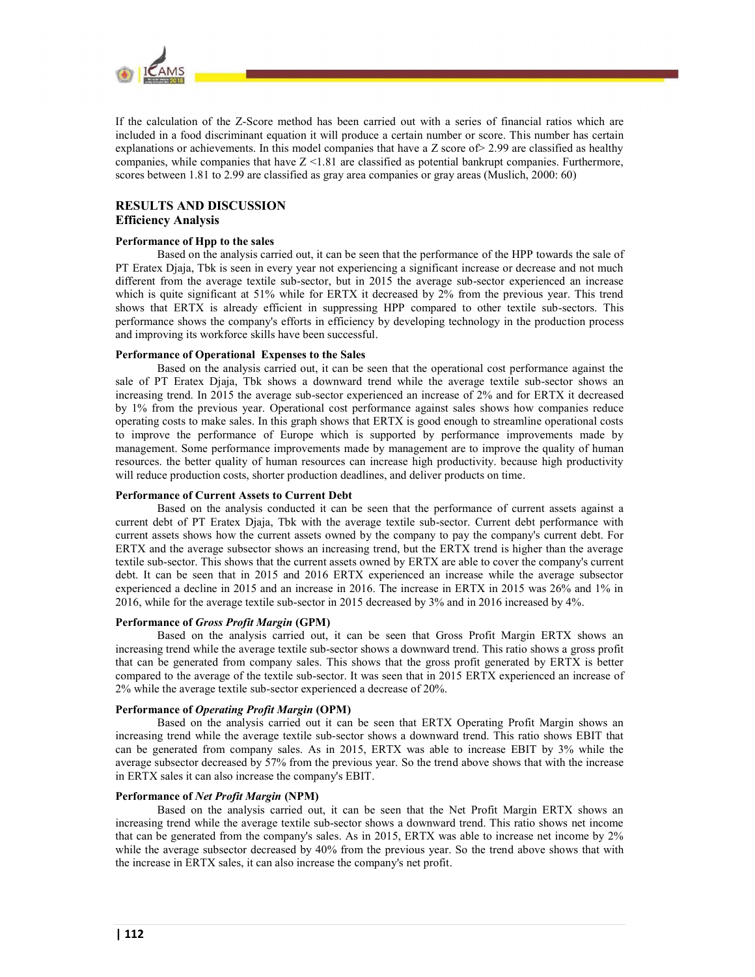

If the calculation of the Z-Score method has been carried out with a series of financial ratios which are included in a food discriminant equation it will produce a certain number or score. This number has certain explanations or achievements. In this model companies that have a Z score of> 2.99 are classified as healthy companies, while companies that have Z <1.81 are classified as potential bankrupt companies. Furthermore, scores between 1.81 to 2.99 are classified as gray area companies or gray areas (Muslich, 2000: 60)

# RESULTS AND DISCUSSION Efficiency Analysis

#### Performance of Hpp to the sales

 Based on the analysis carried out, it can be seen that the performance of the HPP towards the sale of PT Eratex Djaja, Tbk is seen in every year not experiencing a significant increase or decrease and not much different from the average textile sub-sector, but in 2015 the average sub-sector experienced an increase which is quite significant at 51% while for ERTX it decreased by 2% from the previous year. This trend shows that ERTX is already efficient in suppressing HPP compared to other textile sub-sectors. This performance shows the company's efforts in efficiency by developing technology in the production process and improving its workforce skills have been successful.

#### Performance of Operational Expenses to the Sales

 Based on the analysis carried out, it can be seen that the operational cost performance against the sale of PT Eratex Djaja, Tbk shows a downward trend while the average textile sub-sector shows an increasing trend. In 2015 the average sub-sector experienced an increase of 2% and for ERTX it decreased by 1% from the previous year. Operational cost performance against sales shows how companies reduce operating costs to make sales. In this graph shows that ERTX is good enough to streamline operational costs to improve the performance of Europe which is supported by performance improvements made by management. Some performance improvements made by management are to improve the quality of human resources. the better quality of human resources can increase high productivity. because high productivity will reduce production costs, shorter production deadlines, and deliver products on time.

#### Performance of Current Assets to Current Debt

 Based on the analysis conducted it can be seen that the performance of current assets against a current debt of PT Eratex Djaja, Tbk with the average textile sub-sector. Current debt performance with current assets shows how the current assets owned by the company to pay the company's current debt. For ERTX and the average subsector shows an increasing trend, but the ERTX trend is higher than the average textile sub-sector. This shows that the current assets owned by ERTX are able to cover the company's current debt. It can be seen that in 2015 and 2016 ERTX experienced an increase while the average subsector experienced a decline in 2015 and an increase in 2016. The increase in ERTX in 2015 was 26% and 1% in 2016, while for the average textile sub-sector in 2015 decreased by 3% and in 2016 increased by 4%.

#### Performance of Gross Profit Margin (GPM)

 Based on the analysis carried out, it can be seen that Gross Profit Margin ERTX shows an increasing trend while the average textile sub-sector shows a downward trend. This ratio shows a gross profit that can be generated from company sales. This shows that the gross profit generated by ERTX is better compared to the average of the textile sub-sector. It was seen that in 2015 ERTX experienced an increase of 2% while the average textile sub-sector experienced a decrease of 20%.

#### Performance of Operating Profit Margin (OPM)

 Based on the analysis carried out it can be seen that ERTX Operating Profit Margin shows an increasing trend while the average textile sub-sector shows a downward trend. This ratio shows EBIT that can be generated from company sales. As in 2015, ERTX was able to increase EBIT by 3% while the average subsector decreased by 57% from the previous year. So the trend above shows that with the increase in ERTX sales it can also increase the company's EBIT.

#### Performance of Net Profit Margin (NPM)

 Based on the analysis carried out, it can be seen that the Net Profit Margin ERTX shows an increasing trend while the average textile sub-sector shows a downward trend. This ratio shows net income that can be generated from the company's sales. As in 2015, ERTX was able to increase net income by 2% while the average subsector decreased by 40% from the previous year. So the trend above shows that with the increase in ERTX sales, it can also increase the company's net profit.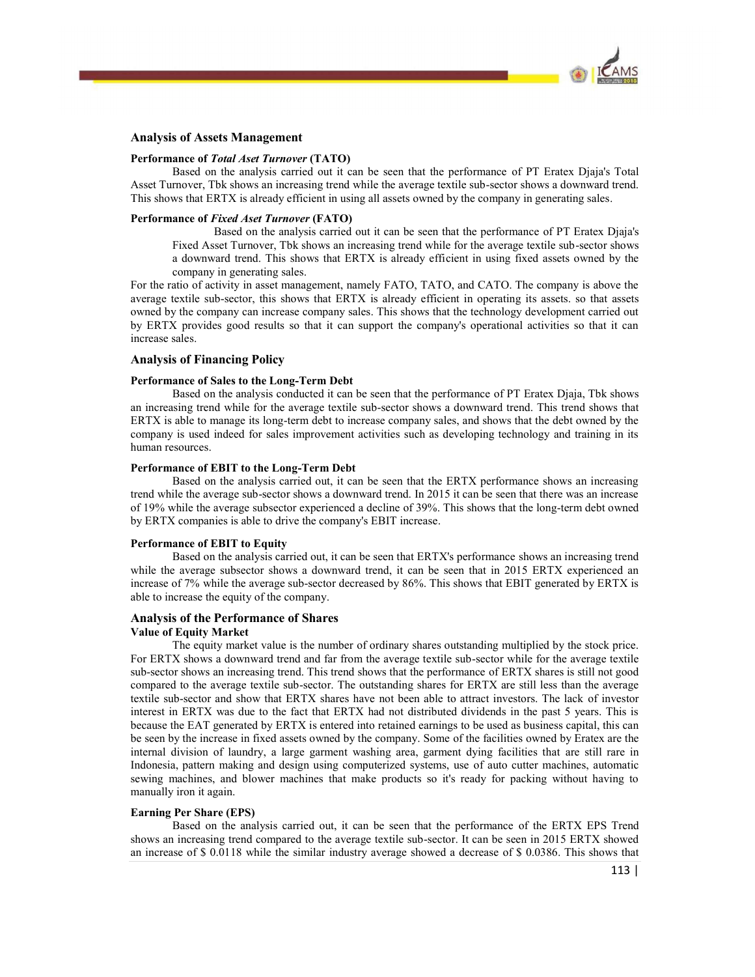

#### Analysis of Assets Management

#### Performance of Total Aset Turnover (TATO)

 Based on the analysis carried out it can be seen that the performance of PT Eratex Djaja's Total Asset Turnover, Tbk shows an increasing trend while the average textile sub-sector shows a downward trend. This shows that ERTX is already efficient in using all assets owned by the company in generating sales.

#### Performance of Fixed Aset Turnover (FATO)

 Based on the analysis carried out it can be seen that the performance of PT Eratex Djaja's Fixed Asset Turnover, Tbk shows an increasing trend while for the average textile sub-sector shows a downward trend. This shows that ERTX is already efficient in using fixed assets owned by the company in generating sales.

For the ratio of activity in asset management, namely FATO, TATO, and CATO. The company is above the average textile sub-sector, this shows that ERTX is already efficient in operating its assets. so that assets owned by the company can increase company sales. This shows that the technology development carried out by ERTX provides good results so that it can support the company's operational activities so that it can increase sales.

# Analysis of Financing Policy

#### Performance of Sales to the Long-Term Debt

 Based on the analysis conducted it can be seen that the performance of PT Eratex Djaja, Tbk shows an increasing trend while for the average textile sub-sector shows a downward trend. This trend shows that ERTX is able to manage its long-term debt to increase company sales, and shows that the debt owned by the company is used indeed for sales improvement activities such as developing technology and training in its human resources.

#### Performance of EBIT to the Long-Term Debt

 Based on the analysis carried out, it can be seen that the ERTX performance shows an increasing trend while the average sub-sector shows a downward trend. In 2015 it can be seen that there was an increase of 19% while the average subsector experienced a decline of 39%. This shows that the long-term debt owned by ERTX companies is able to drive the company's EBIT increase.

#### Performance of EBIT to Equity

 Based on the analysis carried out, it can be seen that ERTX's performance shows an increasing trend while the average subsector shows a downward trend, it can be seen that in 2015 ERTX experienced an increase of 7% while the average sub-sector decreased by 86%. This shows that EBIT generated by ERTX is able to increase the equity of the company.

# Analysis of the Performance of Shares

#### Value of Equity Market

 The equity market value is the number of ordinary shares outstanding multiplied by the stock price. For ERTX shows a downward trend and far from the average textile sub-sector while for the average textile sub-sector shows an increasing trend. This trend shows that the performance of ERTX shares is still not good compared to the average textile sub-sector. The outstanding shares for ERTX are still less than the average textile sub-sector and show that ERTX shares have not been able to attract investors. The lack of investor interest in ERTX was due to the fact that ERTX had not distributed dividends in the past 5 years. This is because the EAT generated by ERTX is entered into retained earnings to be used as business capital, this can be seen by the increase in fixed assets owned by the company. Some of the facilities owned by Eratex are the internal division of laundry, a large garment washing area, garment dying facilities that are still rare in Indonesia, pattern making and design using computerized systems, use of auto cutter machines, automatic sewing machines, and blower machines that make products so it's ready for packing without having to manually iron it again.

#### Earning Per Share (EPS)

 Based on the analysis carried out, it can be seen that the performance of the ERTX EPS Trend shows an increasing trend compared to the average textile sub-sector. It can be seen in 2015 ERTX showed an increase of \$ 0.0118 while the similar industry average showed a decrease of \$ 0.0386. This shows that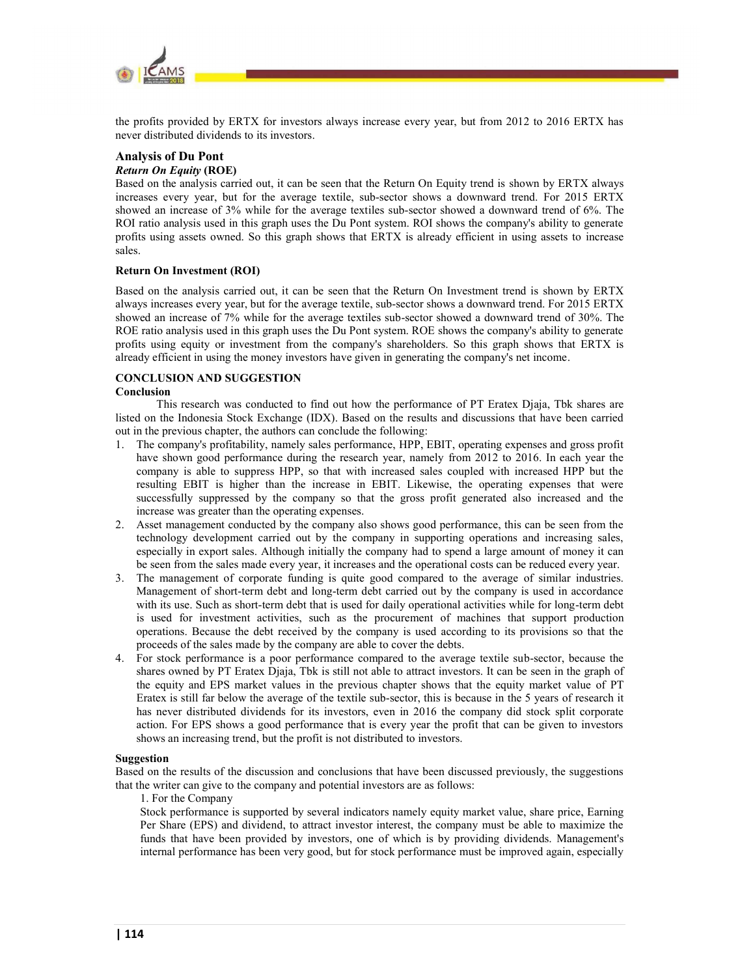

the profits provided by ERTX for investors always increase every year, but from 2012 to 2016 ERTX has never distributed dividends to its investors.

#### Analysis of Du Pont Return On Equity (ROE)

# Based on the analysis carried out, it can be seen that the Return On Equity trend is shown by ERTX always increases every year, but for the average textile, sub-sector shows a downward trend. For 2015 ERTX showed an increase of 3% while for the average textiles sub-sector showed a downward trend of 6%. The ROI ratio analysis used in this graph uses the Du Pont system. ROI shows the company's ability to generate

profits using assets owned. So this graph shows that ERTX is already efficient in using assets to increase sales.

# Return On Investment (ROI)

Based on the analysis carried out, it can be seen that the Return On Investment trend is shown by ERTX always increases every year, but for the average textile, sub-sector shows a downward trend. For 2015 ERTX showed an increase of 7% while for the average textiles sub-sector showed a downward trend of 30%. The ROE ratio analysis used in this graph uses the Du Pont system. ROE shows the company's ability to generate profits using equity or investment from the company's shareholders. So this graph shows that ERTX is already efficient in using the money investors have given in generating the company's net income.

# CONCLUSION AND SUGGESTION

# Conclusion

This research was conducted to find out how the performance of PT Eratex Djaja, Tbk shares are listed on the Indonesia Stock Exchange (IDX). Based on the results and discussions that have been carried out in the previous chapter, the authors can conclude the following:

- 1. The company's profitability, namely sales performance, HPP, EBIT, operating expenses and gross profit have shown good performance during the research year, namely from 2012 to 2016. In each year the company is able to suppress HPP, so that with increased sales coupled with increased HPP but the resulting EBIT is higher than the increase in EBIT. Likewise, the operating expenses that were successfully suppressed by the company so that the gross profit generated also increased and the increase was greater than the operating expenses.
- 2. Asset management conducted by the company also shows good performance, this can be seen from the technology development carried out by the company in supporting operations and increasing sales, especially in export sales. Although initially the company had to spend a large amount of money it can be seen from the sales made every year, it increases and the operational costs can be reduced every year.
- 3. The management of corporate funding is quite good compared to the average of similar industries. Management of short-term debt and long-term debt carried out by the company is used in accordance with its use. Such as short-term debt that is used for daily operational activities while for long-term debt is used for investment activities, such as the procurement of machines that support production operations. Because the debt received by the company is used according to its provisions so that the proceeds of the sales made by the company are able to cover the debts.
- 4. For stock performance is a poor performance compared to the average textile sub-sector, because the shares owned by PT Eratex Djaja, Tbk is still not able to attract investors. It can be seen in the graph of the equity and EPS market values in the previous chapter shows that the equity market value of PT Eratex is still far below the average of the textile sub-sector, this is because in the 5 years of research it has never distributed dividends for its investors, even in 2016 the company did stock split corporate action. For EPS shows a good performance that is every year the profit that can be given to investors shows an increasing trend, but the profit is not distributed to investors.

#### Suggestion

Based on the results of the discussion and conclusions that have been discussed previously, the suggestions that the writer can give to the company and potential investors are as follows:

#### 1. For the Company

Stock performance is supported by several indicators namely equity market value, share price, Earning Per Share (EPS) and dividend, to attract investor interest, the company must be able to maximize the funds that have been provided by investors, one of which is by providing dividends. Management's internal performance has been very good, but for stock performance must be improved again, especially